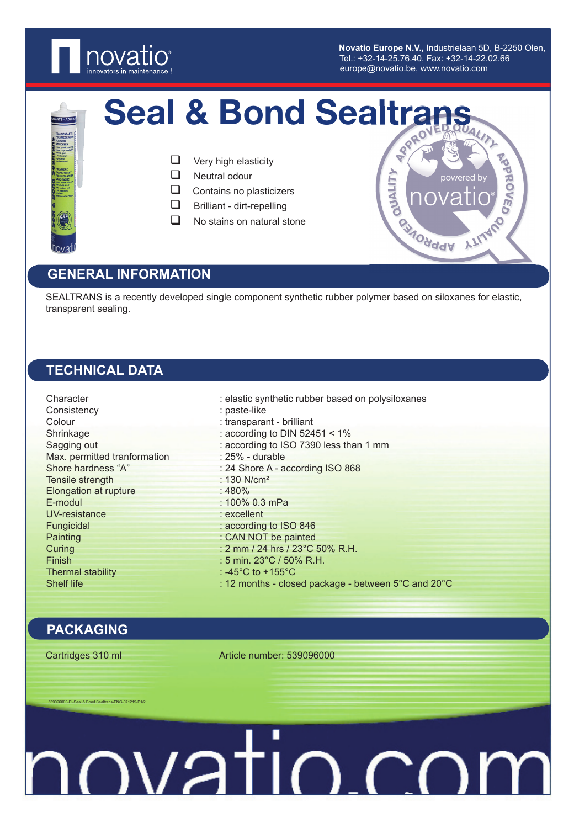

**Novatio Europe N.V.,** Industrielaan 5D, B-2250 Olen, Novatio Europe N.V., Industrielaan 5D, B-22<br>Tel.: +32-14-25.76.40, Fax: +32-14-22.02.66 europe@novatio.be, www.novatio.com

powered b

**MONddy** 

**QUALITY** 

MONDER



## Seal & Bond Sealtrans

- $\Box$  Very high elasticity
- Neutral odour
- $\Box$  Contains no plasticizers
- $\Box$  Brilliant dirt-repelling
- $\Box$  No stains on natural stone

### **GENERAL INFORMATION**

SEALTRANS is a recently developed single component synthetic rubber polymer based on siloxanes for elastic, transparent sealing.

### **TECHNICAL DATA**

Consistency : paste-like Colour : transparant - brilliant Max. permitted tranformation : 25% - durable Tensile strength : 130 N/cm<sup>2</sup> Elongation at rupture : 480% E-modul : 100% 0.3 mPa UV-resistance : excellent Fungicidal : according to ISO 846 Painting : CAN NOT be painted Finish : 5 min. 23°C / 50% R.H. Thermal stability : -45°C to +155°C

Character : elastic synthetic rubber based on polysiloxanes Shrinkage : according to DIN 52451 < 1% Sagging out : according to ISO 7390 less than 1 mm Shore hardness "A" : 24 Shore A - according ISO 868 Curing : 2 mm / 24 hrs / 23°C 50% R.H. Shelf life : 12 months - closed package - between 5°C and 20°C

### **PACKAGING**

Cartridges 310 ml Article number: 539096000

539096000-PI-Seal & Bond Sealtrans-ENG-071219-P1/2

# novatio.co